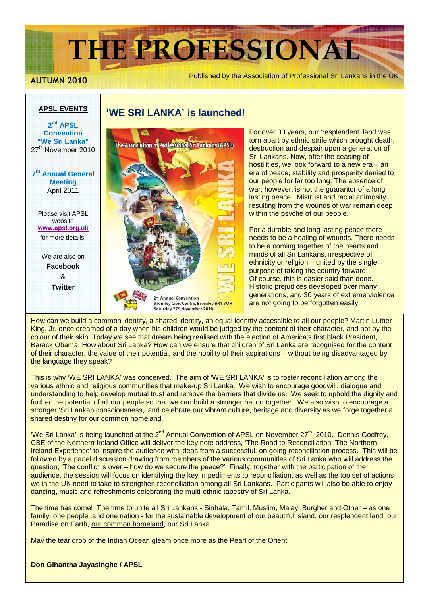# **THE PROFESSIONAL**

**APSL EVENTS**

Published by the Association of Professional Sri Lankans in the UK **AUTUMN 2010**

## **2 nd APSL Convention "We Sri Lanka"**  27<sup>th</sup> November 2010 **7 th Annual General Meeting**  April 2011

Please visit APSL website **www.apsl.org.uk** for more details.

We are also on **Facebook**  & **Twitter** 

### **'WE SRI LANKA' is launched!**



For over 30 years, our 'resplendent' land was torn apart by ethnic strife which brought death, destruction and despair upon a generation of Sri Lankans. Now, after the ceasing of hostilities, we look forward to a new era – an era of peace, stability and prosperity denied to our people for far too long. The absence of war, however, is not the guarantor of a long lasting peace. Mistrust and racial animosity resulting from the wounds of war remain deep within the psyche of our people.

For a durable and long lasting peace there needs to be a healing of wounds. There needs to be a coming together of the hearts and minds of all Sri Lankans, irrespective of ethnicity or religion – united by the single purpose of taking the country forward. Of course, this is easier said than done. Historic prejudices developed over many generations, and 30 years of extreme violence are not going to be forgotten easily.

How can we build a common identity, a shared identity, an equal identity accessible to all our people? Martin Luther King, Jr. once dreamed of a day when his children would be judged by the content of their character, and not by the colour of their skin. Today we see that dream being realised with the election of America's first black President, Barack Obama. How about Sri Lanka? How can we ensure that children of Sri Lanka are recognised for the content of their character, the value of their potential, and the nobility of their aspirations – without being disadvantaged by the language they speak?

This is why 'WE SRI LANKA' was conceived. The aim of 'WE SRI LANKA' is to foster reconciliation among the various ethnic and religious communities that make-up Sri Lanka. We wish to encourage goodwill, dialogue and understanding to help develop mutual trust and remove the barriers that divide us. We seek to uphold the dignity and further the potential of all our people so that we can build a stronger nation together. We also wish to encourage a stronger 'Sri Lankan consciousness,' and celebrate our vibrant culture, heritage and diversity as we forge together a shared destiny for our common homeland.

'We Sri Lanka' is being launched at the 2<sup>nd</sup> Annual Convention of APSL on November 27<sup>th</sup>, 2010. Dennis Godfrey, CBE of the Northern Ireland Office will deliver the key note address, 'The Road to Reconciliation: The Northern Ireland Experience' to inspire the audience with ideas from a successful, on-going reconciliation process. This will be followed by a panel discussion drawing from members of the various communities of Sri Lanka who will address the question, 'The conflict is over – how do we secure the peace?' Finally, together with the participation of the audience, the session will focus on identifying the key impediments to reconciliation, as well as the top set of actions we in the UK need to take to strengthen reconciliation among all Sri Lankans. Participants will also be able to enjoy dancing, music and refreshments celebrating the multi-ethnic tapestry of Sri Lanka.

The time has come! The time to unite all Sri Lankans - Sinhala, Tamil, Muslim, Malay, Burgher and Other – as one family, one people, and one nation - for the sustainable development of our beautiful island, our resplendent land, our Paradise on Earth, our common homeland, our Sri Lanka.

May the tear drop of the Indian Ocean gleam once more as the Pearl of the Orient!

#### **Don Gihantha Jayasinghe / APSL**

 $\overline{\phantom{a}}$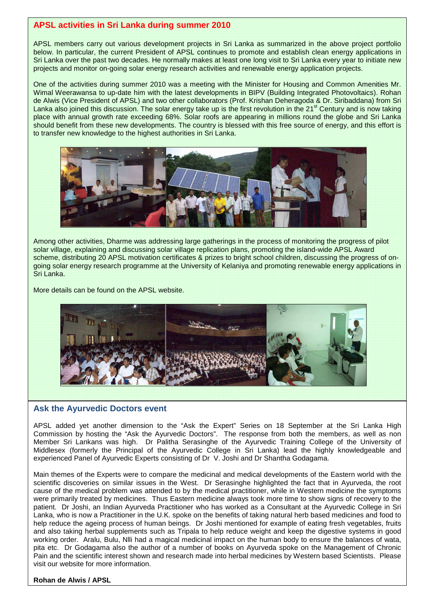#### **APSL activities in Sri Lanka during summer 2010**

APSL members carry out various development projects in Sri Lanka as summarized in the above project portfolio below. In particular, the current President of APSL continues to promote and establish clean energy applications in Sri Lanka over the past two decades. He normally makes at least one long visit to Sri Lanka every year to initiate new projects and monitor on-going solar energy research activities and renewable energy application projects.

One of the activities during summer 2010 was a meeting with the Minister for Housing and Common Amenities Mr. Wimal Weerawansa to up-date him with the latest developments in BIPV (Building Integrated Photovoltaics). Rohan de Alwis (Vice President of APSL) and two other collaborators (Prof. Krishan Deheragoda & Dr. Siribaddana) from Sri Lanka also joined this discussion. The solar energy take up is the first revolution in the  $21<sup>st</sup>$  Century and is now taking place with annual growth rate exceeding 68%. Solar roofs are appearing in millions round the globe and Sri Lanka should benefit from these new developments. The country is blessed with this free source of energy, and this effort is to transfer new knowledge to the highest authorities in Sri Lanka.



Among other activities, Dharme was addressing large gatherings in the process of monitoring the progress of pilot solar village, explaining and discussing solar village replication plans, promoting the island-wide APSL Award scheme, distributing 20 APSL motivation certificates & prizes to bright school children, discussing the progress of ongoing solar energy research programme at the University of Kelaniya and promoting renewable energy applications in Sri Lanka.

More details can be found on the APSL website.



#### **Ask the Ayurvedic Doctors event**

APSL added yet another dimension to the "Ask the Expert" Series on 18 September at the Sri Lanka High Commission by hosting the "Ask the Ayurvedic Doctors". The response from both the members, as well as non Member Sri Lankans was high. Dr Palitha Serasinghe of the Ayurvedic Training College of the University of Middlesex (formerly the Principal of the Ayurvedic College in Sri Lanka) lead the highly knowledgeable and experienced Panel of Ayurvedic Experts consisting of Dr V. Joshi and Dr Shantha Godagama.

Main themes of the Experts were to compare the medicinal and medical developments of the Eastern world with the scientific discoveries on similar issues in the West. Dr Serasinghe highlighted the fact that in Ayurveda, the root cause of the medical problem was attended to by the medical practitioner, while in Western medicine the symptoms were primarily treated by medicines. Thus Eastern medicine always took more time to show signs of recovery to the patient. Dr Joshi, an Indian Ayurveda Practitioner who has worked as a Consultant at the Ayurvedic College in Sri Lanka, who is now a Practitioner in the U.K. spoke on the benefits of taking natural herb based medicines and food to help reduce the ageing process of human beings. Dr Joshi mentioned for example of eating fresh vegetables, fruits and also taking herbal supplements such as Tripala to help reduce weight and keep the digestive systems in good working order. Aralu, Bulu, Nlli had a magical medicinal impact on the human body to ensure the balances of wata, pita etc. Dr Godagama also the author of a number of books on Ayurveda spoke on the Management of Chronic Pain and the scientific interest shown and research made into herbal medicines by Western based Scientists. Please visit our website for more information.

#### **Rohan de Alwis / APSL**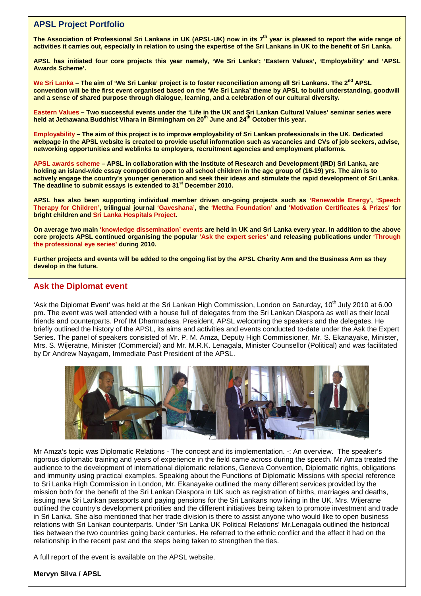#### **APSL Project Portfolio**

**The Association of Professional Sri Lankans in UK (APSL-UK) now in its 7th year is pleased to report the wide range of activities it carries out, especially in relation to using the expertise of the Sri Lankans in UK to the benefit of Sri Lanka.** 

**APSL has initiated four core projects this year namely, 'We Sri Lanka'; 'Eastern Values', 'Employability' and 'APSL Awards Scheme'.** 

We Sri Lanka – The aim of 'We Sri Lanka' project is to foster reconciliation among all Sri Lankans. The 2<sup>nd</sup> APSL **convention will be the first event organised based on the 'We Sri Lanka' theme by APSL to build understanding, goodwill and a sense of shared purpose through dialogue, learning, and a celebration of our cultural diversity.**

**Eastern Values – Two successful events under the 'Life in the UK and Sri Lankan Cultural Values' seminar series were held at Jethawana Buddhist Vihara in Birmingham on 20 th June and 24th October this year.** 

**Employability – The aim of this project is to improve employability of Sri Lankan professionals in the UK. Dedicated webpage in the APSL website is created to provide useful information such as vacancies and CVs of job seekers, advise, networking opportunities and weblinks to employers, recruitment agencies and employment platforms.** 

**APSL awards scheme – APSL in collaboration with the Institute of Research and Development (IRD) Sri Lanka, are holding an island-wide essay competition open to all school children in the age group of (16-19) yrs. The aim is to actively engage the country's younger generation and seek their ideas and stimulate the rapid development of Sri Lanka. The deadline to submit essays is extended to 31st December 2010.** 

**APSL has also been supporting individual member driven on-going projects such as 'Renewable Energy', 'Speech Therapy for Children', trilingual journal 'Gaveshana', the 'Mettha Foundation' and 'Motivation Certificates & Prizes' for bright children and Sri Lanka Hospitals Project.** 

**On average two main 'knowledge dissemination' events are held in UK and Sri Lanka every year. In addition to the above core projects APSL continued organising the popular 'Ask the expert series' and releasing publications under 'Through the professional eye series' during 2010.** 

**Further projects and events will be added to the ongoing list by the APSL Charity Arm and the Business Arm as they develop in the future.** 

#### **Ask the Diplomat event**

'Ask the Diplomat Event' was held at the Sri Lankan High Commission, London on Saturday, 10<sup>th</sup> July 2010 at 6.00 pm. The event was well attended with a house full of delegates from the Sri Lankan Diaspora as well as their local friends and counterparts. Prof IM Dharmadasa, President, APSL welcoming the speakers and the delegates. He briefly outlined the history of the APSL, its aims and activities and events conducted to-date under the Ask the Expert Series. The panel of speakers consisted of Mr. P. M. Amza, Deputy High Commissioner, Mr. S. Ekanayake, Minister, Mrs. S. Wijeratne, Minister (Commercial) and Mr. M.R.K. Lenagala, Minister Counsellor (Political) and was facilitated by Dr Andrew Nayagam, Immediate Past President of the APSL.



Mr Amza's topic was Diplomatic Relations - The concept and its implementation. -: An overview. The speaker's rigorous diplomatic training and years of experience in the field came across during the speech. Mr Amza treated the audience to the development of international diplomatic relations, Geneva Convention, Diplomatic rights, obligations and immunity using practical examples. Speaking about the Functions of Diplomatic Missions with special reference to Sri Lanka High Commission in London, Mr. Ekanayake outlined the many different services provided by the mission both for the benefit of the Sri Lankan Diaspora in UK such as registration of births, marriages and deaths, issuing new Sri Lankan passports and paying pensions for the Sri Lankans now living in the UK. Mrs. Wijeratne outlined the country's development priorities and the different initiatives being taken to promote investment and trade in Sri Lanka. She also mentioned that her trade division is there to assist anyone who would like to open business relations with Sri Lankan counterparts. Under 'Sri Lanka UK Political Relations' Mr.Lenagala outlined the historical ties between the two countries going back centuries. He referred to the ethnic conflict and the effect it had on the relationship in the recent past and the steps being taken to strengthen the ties.

A full report of the event is available on the APSL website.

#### **Mervyn Silva / APSL**